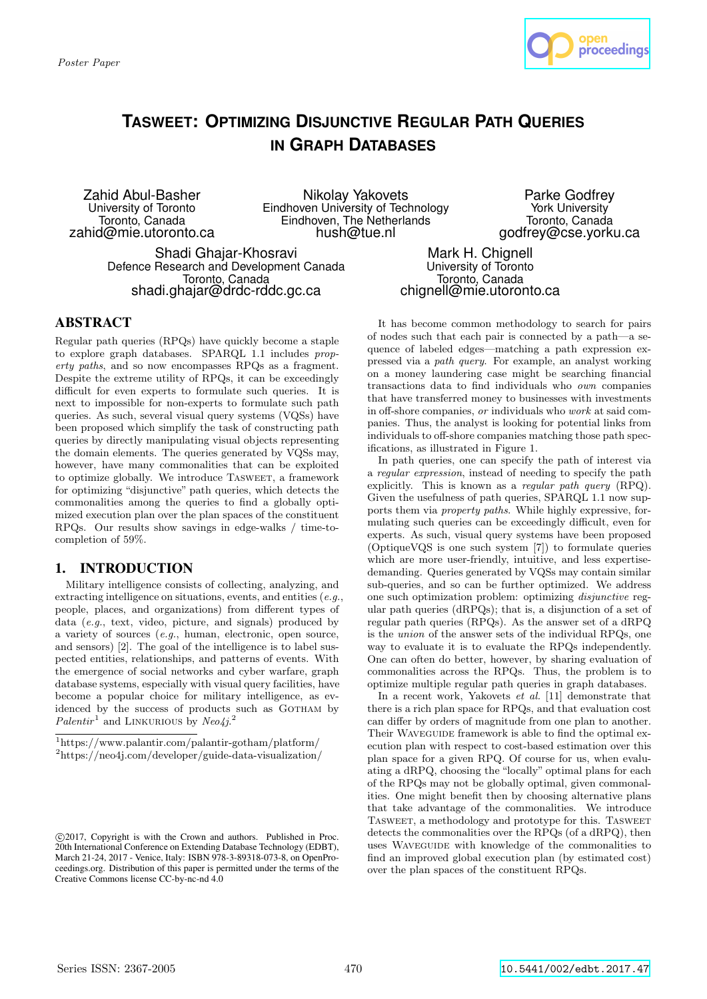

# **TASWEET: OPTIMIZING DISJUNCTIVE REGULAR PATH QUERIES IN GRAPH DATABASES**

Zahid Abul-Basher University of Toronto Toronto, Canada zahid@mie.utoronto.ca

Nikolay Yakovets Eindhoven University of Technology Eindhoven, The Netherlands hush@tue.nl

Parke Godfrey York University Toronto, Canada godfrey@cse.yorku.ca

Shadi Ghajar-Khosravi Defence Research and Development Canada Toronto, Canada shadi.ghajar@drdc-rddc.gc.ca

Mark H. Chignell University of Toronto Toronto, Canada chignell@mie.utoronto.ca

## ABSTRACT

Regular path queries (RPQs) have quickly become a staple to explore graph databases. SPARQL 1.1 includes property paths, and so now encompasses RPQs as a fragment. Despite the extreme utility of RPQs, it can be exceedingly difficult for even experts to formulate such queries. It is next to impossible for non-experts to formulate such path queries. As such, several visual query systems (VQSs) have been proposed which simplify the task of constructing path queries by directly manipulating visual objects representing the domain elements. The queries generated by VQSs may, however, have many commonalities that can be exploited to optimize globally. We introduce Tasweet, a framework for optimizing "disjunctive" path queries, which detects the commonalities among the queries to find a globally optimized execution plan over the plan spaces of the constituent RPQs. Our results show savings in edge-walks / time-tocompletion of 59%.

### 1. INTRODUCTION

Military intelligence consists of collecting, analyzing, and extracting intelligence on situations, events, and entities (e.g., people, places, and organizations) from different types of data (e.g., text, video, picture, and signals) produced by a variety of sources (e.g., human, electronic, open source, and sensors) [2]. The goal of the intelligence is to label suspected entities, relationships, and patterns of events. With the emergence of social networks and cyber warfare, graph database systems, especially with visual query facilities, have become a popular choice for military intelligence, as evidenced by the success of products such as GOTHAM by Palentir<sup>1</sup> and LINKURIOUS by Neo4j.<sup>2</sup>

It has become common methodology to search for pairs of nodes such that each pair is connected by a path—a sequence of labeled edges—matching a path expression expressed via a path query. For example, an analyst working on a money laundering case might be searching financial transactions data to find individuals who own companies that have transferred money to businesses with investments in off-shore companies, or individuals who work at said companies. Thus, the analyst is looking for potential links from individuals to off-shore companies matching those path specifications, as illustrated in Figure 1.

In path queries, one can specify the path of interest via a regular expression, instead of needing to specify the path explicitly. This is known as a regular path query (RPQ). Given the usefulness of path queries, SPARQL 1.1 now supports them via property paths. While highly expressive, formulating such queries can be exceedingly difficult, even for experts. As such, visual query systems have been proposed (OptiqueVQS is one such system [7]) to formulate queries which are more user-friendly, intuitive, and less expertisedemanding. Queries generated by VQSs may contain similar sub-queries, and so can be further optimized. We address one such optimization problem: optimizing disjunctive regular path queries (dRPQs); that is, a disjunction of a set of regular path queries (RPQs). As the answer set of a dRPQ is the union of the answer sets of the individual RPQs, one way to evaluate it is to evaluate the RPQs independently. One can often do better, however, by sharing evaluation of commonalities across the RPQs. Thus, the problem is to optimize multiple regular path queries in graph databases.

In a recent work, Yakovets et al. [11] demonstrate that there is a rich plan space for RPQs, and that evaluation cost can differ by orders of magnitude from one plan to another. Their WAVEGUIDE framework is able to find the optimal execution plan with respect to cost-based estimation over this plan space for a given RPQ. Of course for us, when evaluating a dRPQ, choosing the "locally" optimal plans for each of the RPQs may not be globally optimal, given commonalities. One might benefit then by choosing alternative plans that take advantage of the commonalities. We introduce Tasweet, a methodology and prototype for this. Tasweet detects the commonalities over the RPQs (of a dRPQ), then uses Waveguide with knowledge of the commonalities to find an improved global execution plan (by estimated cost) over the plan spaces of the constituent RPQs.

<sup>1</sup>https://www.palantir.com/palantir-gotham/platform/ <sup>2</sup>https://neo4j.com/developer/guide-data-visualization/

c 2017, Copyright is with the Crown and authors. Published in Proc. 20th International Conference on Extending Database Technology (EDBT), March 21-24, 2017 - Venice, Italy: ISBN 978-3-89318-073-8, on OpenProceedings.org. Distribution of this paper is permitted under the terms of the Creative Commons license CC-by-nc-nd 4.0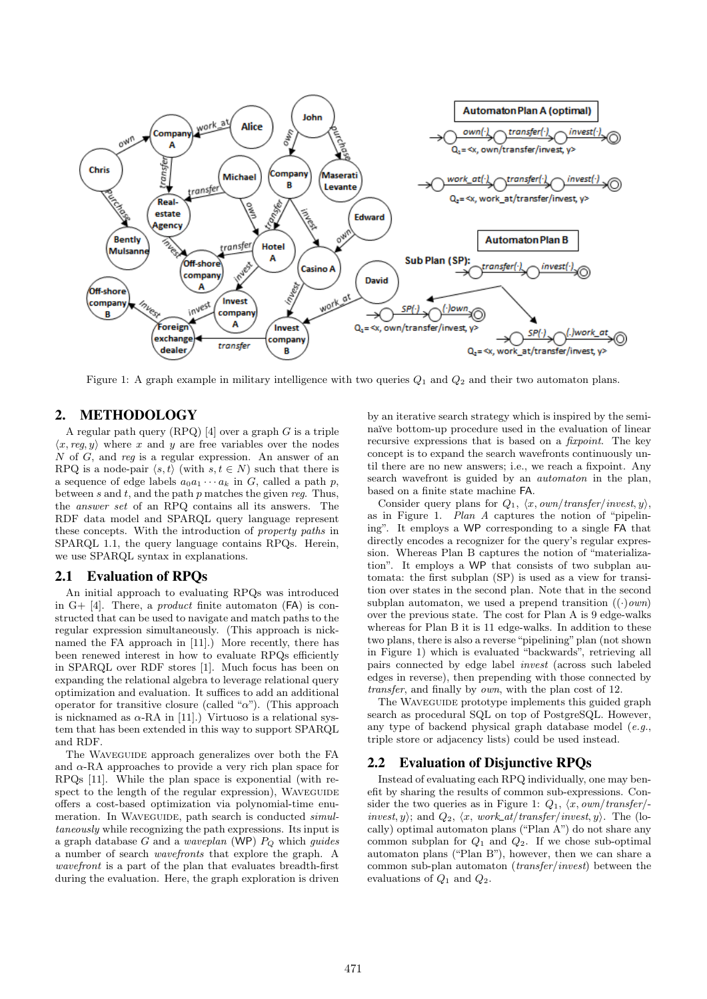

Figure 1: A graph example in military intelligence with two queries  $Q_1$  and  $Q_2$  and their two automaton plans.

## 2. METHODOLOGY

A regular path query  $(RPQ)$  [4] over a graph G is a triple  $\langle x, reg, y \rangle$  where x and y are free variables over the nodes N of G, and reg is a regular expression. An answer of an RPQ is a node-pair  $\langle s, t \rangle$  (with  $s, t \in N$ ) such that there is a sequence of edge labels  $a_0a_1 \cdots a_k$  in G, called a path p, between  $s$  and  $t$ , and the path  $p$  matches the given reg. Thus, the answer set of an RPQ contains all its answers. The RDF data model and SPARQL query language represent these concepts. With the introduction of property paths in SPARQL 1.1, the query language contains RPQs. Herein, we use SPARQL syntax in explanations.

#### 2.1 Evaluation of RPQs

An initial approach to evaluating RPQs was introduced in  $G+$  [4]. There, a *product* finite automaton  $(\textsf{FA})$  is constructed that can be used to navigate and match paths to the regular expression simultaneously. (This approach is nicknamed the FA approach in [11].) More recently, there has been renewed interest in how to evaluate RPQs efficiently in SPARQL over RDF stores [1]. Much focus has been on expanding the relational algebra to leverage relational query optimization and evaluation. It suffices to add an additional operator for transitive closure (called " $\alpha$ "). (This approach is nicknamed as  $\alpha$ -RA in [11].) Virtuoso is a relational system that has been extended in this way to support SPARQL and RDF.

The WAVEGUIDE approach generalizes over both the FA and  $\alpha$ -RA approaches to provide a very rich plan space for RPQs [11]. While the plan space is exponential (with respect to the length of the regular expression), WAVEGUIDE offers a cost-based optimization via polynomial-time enumeration. In WAVEGUIDE, path search is conducted *simul*taneously while recognizing the path expressions. Its input is a graph database G and a *waveplan* (WP)  $P_Q$  which guides a number of search wavefronts that explore the graph. A wavefront is a part of the plan that evaluates breadth-first during the evaluation. Here, the graph exploration is driven by an iterative search strategy which is inspired by the seminaïve bottom-up procedure used in the evaluation of linear recursive expressions that is based on a *fixpoint*. The key concept is to expand the search wavefronts continuously until there are no new answers; i.e., we reach a fixpoint. Any search wavefront is guided by an automaton in the plan, based on a finite state machine FA.

Consider query plans for  $Q_1$ ,  $\langle x, own/transfer/invest, y \rangle$ , as in Figure 1. Plan A captures the notion of "pipelining". It employs a WP corresponding to a single FA that directly encodes a recognizer for the query's regular expression. Whereas Plan B captures the notion of "materialization". It employs a WP that consists of two subplan automata: the first subplan (SP) is used as a view for transition over states in the second plan. Note that in the second subplan automaton, we used a prepend transition  $((.) own)$ over the previous state. The cost for Plan A is 9 edge-walks whereas for Plan B it is 11 edge-walks. In addition to these two plans, there is also a reverse "pipelining" plan (not shown in Figure 1) which is evaluated "backwards", retrieving all pairs connected by edge label invest (across such labeled edges in reverse), then prepending with those connected by transfer, and finally by own, with the plan cost of 12.

The WAVEGUIDE prototype implements this guided graph search as procedural SQL on top of PostgreSQL. However, any type of backend physical graph database model  $(e.g.,)$ triple store or adjacency lists) could be used instead.

#### 2.2 Evaluation of Disjunctive RPQs

Instead of evaluating each RPQ individually, one may benefit by sharing the results of common sub-expressions. Consider the two queries as in Figure 1:  $Q_1$ ,  $\langle x, own/transfer \rangle$ invest, y); and  $Q_2$ ,  $\langle x, work\_at/transfer/invest, y \rangle$ . The (locally) optimal automaton plans ("Plan A") do not share any common subplan for  $Q_1$  and  $Q_2$ . If we chose sub-optimal automaton plans ("Plan B"), however, then we can share a common sub-plan automaton (transfer/invest) between the evaluations of  $Q_1$  and  $Q_2$ .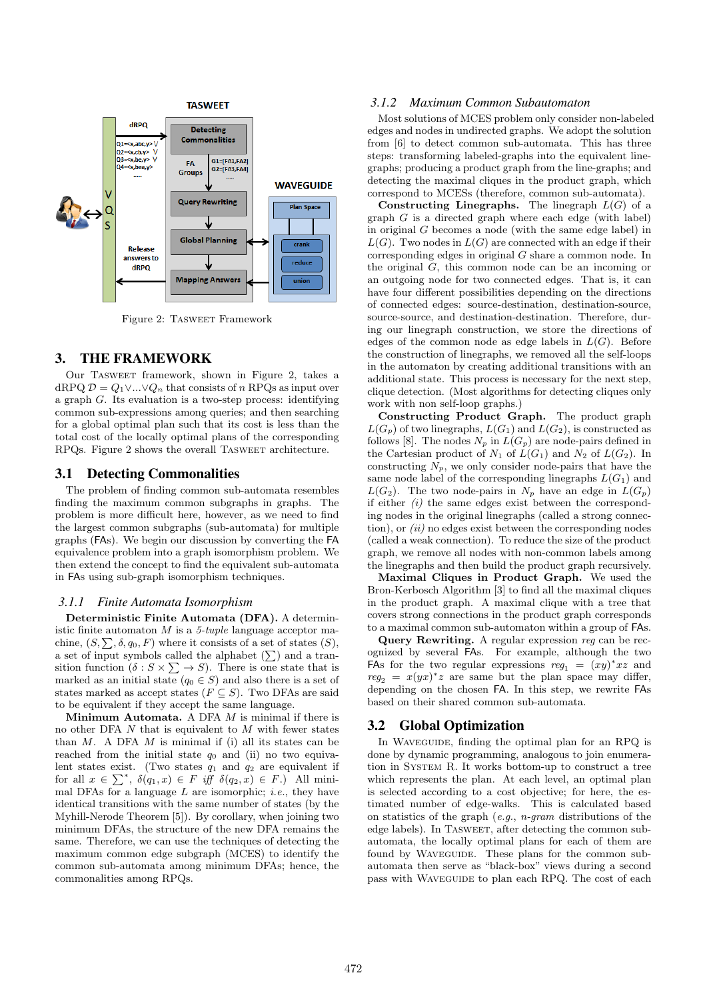

Figure 2: TASWEET Framework

#### 3. THE FRAMEWORK

Our Tasweet framework, shown in Figure 2, takes a dRPQ  $D = Q_1 \vee ... \vee Q_n$  that consists of n RPQs as input over a graph G. Its evaluation is a two-step process: identifying common sub-expressions among queries; and then searching for a global optimal plan such that its cost is less than the total cost of the locally optimal plans of the corresponding RPQs. Figure 2 shows the overall Tasweet architecture.

#### 3.1 Detecting Commonalities

The problem of finding common sub-automata resembles finding the maximum common subgraphs in graphs. The problem is more difficult here, however, as we need to find the largest common subgraphs (sub-automata) for multiple graphs (FAs). We begin our discussion by converting the FA equivalence problem into a graph isomorphism problem. We then extend the concept to find the equivalent sub-automata in FAs using sub-graph isomorphism techniques.

#### *3.1.1 Finite Automata Isomorphism*

Deterministic Finite Automata (DFA). A deterministic finite automaton  $M$  is a 5-tuple language acceptor machine,  $(S, \sum, \delta, q_0, F)$  where it consists of a set of states  $(S)$ , a set of input symbols called the alphabet  $(\sum)$  and a transition function  $(\delta : S \times \sum \rightarrow S)$ . There is one state that is marked as an initial state ( $q_0 \in S$ ) and also there is a set of states marked as accept states ( $F \subseteq S$ ). Two DFAs are said to be equivalent if they accept the same language.

Minimum Automata. A DFA  $M$  is minimal if there is no other DFA  $N$  that is equivalent to  $M$  with fewer states than  $M$ . A DFA  $M$  is minimal if (i) all its states can be reached from the initial state  $q_0$  and (ii) no two equivalent states exist. (Two states  $q_1$  and  $q_2$  are equivalent if for all  $x \in \sum^*$ ,  $\delta(q_1, x) \in F$  iff  $\delta(q_2, x) \in F$ .) All minimal DFAs for a language  $L$  are isomorphic; *i.e.*, they have identical transitions with the same number of states (by the Myhill-Nerode Theorem [5]). By corollary, when joining two minimum DFAs, the structure of the new DFA remains the same. Therefore, we can use the techniques of detecting the maximum common edge subgraph (MCES) to identify the common sub-automata among minimum DFAs; hence, the commonalities among RPQs.

#### *3.1.2 Maximum Common Subautomaton*

Most solutions of MCES problem only consider non-labeled edges and nodes in undirected graphs. We adopt the solution from [6] to detect common sub-automata. This has three steps: transforming labeled-graphs into the equivalent linegraphs; producing a product graph from the line-graphs; and detecting the maximal cliques in the product graph, which correspond to MCESs (therefore, common sub-automata).

**Constructing Linegraphs.** The linegraph  $L(G)$  of a graph  $G$  is a directed graph where each edge (with label) in original G becomes a node (with the same edge label) in  $L(G)$ . Two nodes in  $L(G)$  are connected with an edge if their corresponding edges in original G share a common node. In the original G, this common node can be an incoming or an outgoing node for two connected edges. That is, it can have four different possibilities depending on the directions of connected edges: source-destination, destination-source, source-source, and destination-destination. Therefore, during our linegraph construction, we store the directions of edges of the common node as edge labels in  $L(G)$ . Before the construction of linegraphs, we removed all the self-loops in the automaton by creating additional transitions with an additional state. This process is necessary for the next step, clique detection. (Most algorithms for detecting cliques only work with non self-loop graphs.)

Constructing Product Graph. The product graph  $L(G_p)$  of two linegraphs,  $L(G_1)$  and  $L(G_2)$ , is constructed as follows [8]. The nodes  $N_p$  in  $L(G_p)$  are node-pairs defined in the Cartesian product of  $N_1$  of  $L(G_1)$  and  $N_2$  of  $L(G_2)$ . In constructing  $N_p$ , we only consider node-pairs that have the same node label of the corresponding linegraphs  $L(G_1)$  and  $L(G_2)$ . The two node-pairs in  $N_p$  have an edge in  $L(G_p)$ if either  $(i)$  the same edges exist between the corresponding nodes in the original linegraphs (called a strong connection), or  $(ii)$  no edges exist between the corresponding nodes (called a weak connection). To reduce the size of the product graph, we remove all nodes with non-common labels among the linegraphs and then build the product graph recursively.

Maximal Cliques in Product Graph. We used the Bron-Kerbosch Algorithm [3] to find all the maximal cliques in the product graph. A maximal clique with a tree that covers strong connections in the product graph corresponds to a maximal common sub-automaton within a group of FAs.

Query Rewriting. A regular expression reg can be recognized by several FAs. For example, although the two FAs for the two regular expressions  $reg_1 = (xy)^*xz$  and  $reg_2 = x(yx)^*z$  are same but the plan space may differ, depending on the chosen FA. In this step, we rewrite FAs based on their shared common sub-automata.

#### 3.2 Global Optimization

In WAVEGUIDE, finding the optimal plan for an RPQ is done by dynamic programming, analogous to join enumeration in System R. It works bottom-up to construct a tree which represents the plan. At each level, an optimal plan is selected according to a cost objective; for here, the estimated number of edge-walks. This is calculated based on statistics of the graph  $(e.g., n\text{-}gram$  distributions of the edge labels). In TASWEET, after detecting the common subautomata, the locally optimal plans for each of them are found by WAVEGUIDE. These plans for the common subautomata then serve as "black-box" views during a second pass with WAVEGUIDE to plan each RPQ. The cost of each